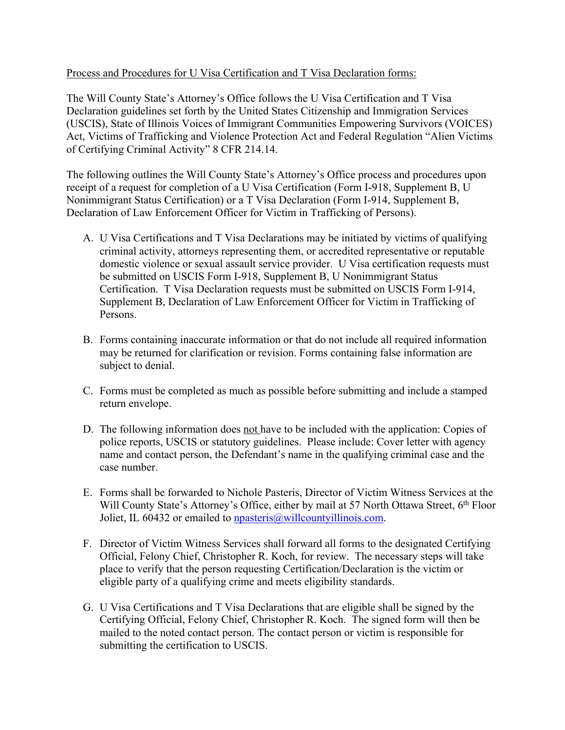## Process and Procedures for U Visa Certification and T Visa Declaration forms:

The Will County State's Attorney's Office follows the U Visa Certification and T Visa Declaration guidelines set forth by the United States Citizenship and Immigration Services (USCIS), State of Illinois Voices of Immigrant Communities Empowering Survivors (VOICES) Act, Victims of Trafficking and Violence Protection Act and Federal Regulation "Alien Victims of Certifying Criminal Activity" 8 CFR 214.14.

The following outlines the Will County State's Attorney's Office process and procedures upon receipt of a request for completion of a U Visa Certification (Form I-918, Supplement B, U Nonimmigrant Status Certification) or a T Visa Declaration (Form I-914, Supplement B, Declaration of Law Enforcement Officer for Victim in Trafficking of Persons).

- A. U Visa Certifications and T Visa Declarations may be initiated by victims of qualifying criminal activity, attorneys representing them, or accredited representative or reputable domestic violence or sexual assault service provider. U Visa certification requests must be submitted on USCIS Form I-918, Supplement B, U Nonimmigrant Status Certification. T Visa Declaration requests must be submitted on USCIS Form I-914, Supplement B, Declaration of Law Enforcement Officer for Victim in Trafficking of Persons.
- B. Forms containing inaccurate information or that do not include all required information may be returned for clarification or revision. Forms containing false information are subject to denial.
- C. Forms must be completed as much as possible before submitting and include a stamped return envelope.
- D. The following information does not have to be included with the application: Copies of police reports, USCIS or statutory guidelines. Please include: Cover letter with agency name and contact person, the Defendant's name in the qualifying criminal case and the case number.
- E. Forms shall be forwarded to Nichole Pasteris, Director of Victim Witness Services at the Will County State's Attorney's Office, either by mail at 57 North Ottawa Street, 6<sup>th</sup> Floor Joliet, IL 60432 or emailed to npasteris@willcountyillinois.com.
- F. Director of Victim Witness Services shall forward all forms to the designated Certifying Official, Felony Chief, Christopher R. Koch, for review. The necessary steps will take place to verify that the person requesting Certification/Declaration is the victim or eligible party of a qualifying crime and meets eligibility standards.
- G. U Visa Certifications and T Visa Declarations that are eligible shall be signed by the Certifying Official, Felony Chief, Christopher R. Koch. The signed form will then be mailed to the noted contact person. The contact person or victim is responsible for submitting the certification to USCIS.